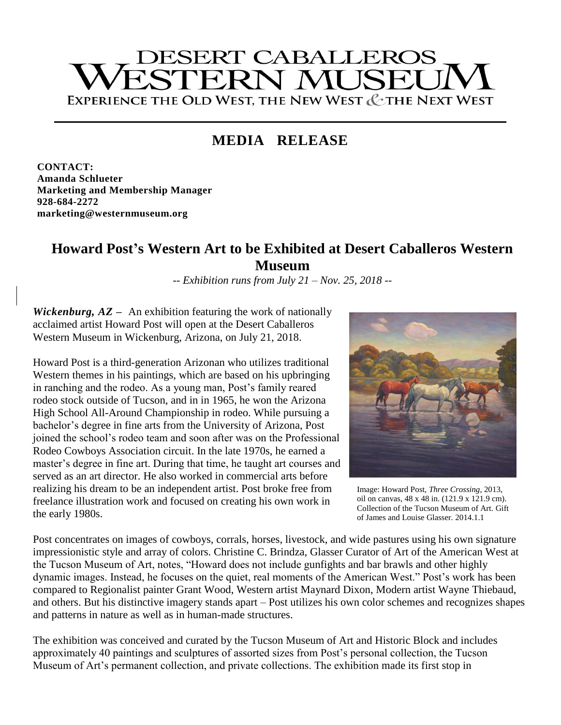# **DESERT CABALLEROS STERN MUSEL** EXPERIENCE THE OLD WEST, THE NEW WEST & THE NEXT WEST

## **MEDIA RELEASE**

**CONTACT: Amanda Schlueter Marketing and Membership Manager 928-684-2272 marketing@westernmuseum.org**

### **Howard Post's Western Art to be Exhibited at Desert Caballeros Western Museum**

*-- Exhibition runs from July 21 – Nov. 25, 2018 --*

*Wickenburg, AZ* **–** An exhibition featuring the work of nationally acclaimed artist Howard Post will open at the Desert Caballeros Western Museum in Wickenburg, Arizona, on July 21, 2018.

Howard Post is a third-generation Arizonan who utilizes traditional Western themes in his paintings, which are based on his upbringing in ranching and the rodeo. As a young man, Post's family reared rodeo stock outside of Tucson, and in in 1965, he won the Arizona High School All-Around Championship in rodeo. While pursuing a bachelor's degree in fine arts from the University of Arizona, Post joined the school's rodeo team and soon after was on the Professional Rodeo Cowboys Association circuit. In the late 1970s, he earned a master's degree in fine art. During that time, he taught art courses and served as an art director. He also worked in commercial arts before realizing his dream to be an independent artist. Post broke free from freelance illustration work and focused on creating his own work in the early 1980s.



Image: Howard Post, *Three Crossing*, 2013, oil on canvas, 48 x 48 in. (121.9 x 121.9 cm). Collection of the Tucson Museum of Art. Gift of James and Louise Glasser. 2014.1.1

Post concentrates on images of cowboys, corrals, horses, livestock, and wide pastures using his own signature impressionistic style and array of colors. Christine C. Brindza, Glasser Curator of Art of the American West at the Tucson Museum of Art, notes, "Howard does not include gunfights and bar brawls and other highly dynamic images. Instead, he focuses on the quiet, real moments of the American West." Post's work has been compared to Regionalist painter Grant Wood, Western artist Maynard Dixon, Modern artist Wayne Thiebaud, and others. But his distinctive imagery stands apart – Post utilizes his own color schemes and recognizes shapes and patterns in nature as well as in human-made structures.

The exhibition was conceived and curated by the Tucson Museum of Art and Historic Block and includes approximately 40 paintings and sculptures of assorted sizes from Post's personal collection, the Tucson Museum of Art's permanent collection, and private collections. The exhibition made its first stop in